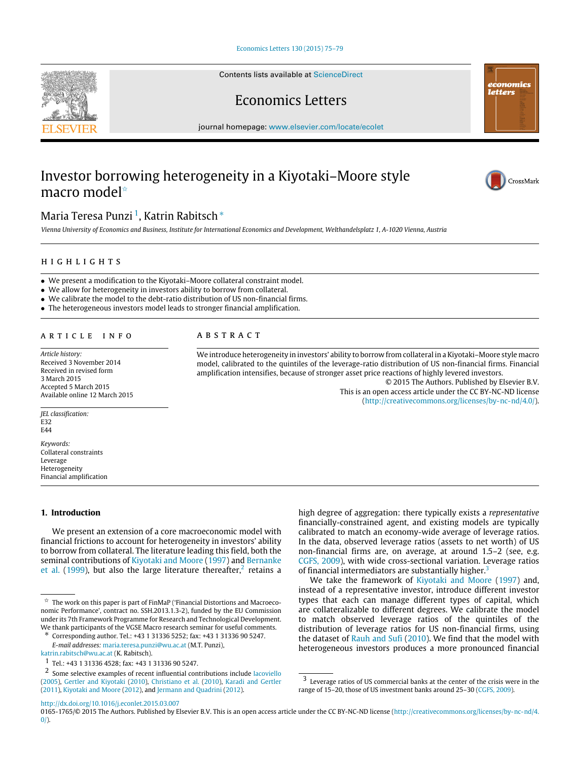### [Economics Letters 130 \(2015\) 75–79](http://dx.doi.org/10.1016/j.econlet.2015.03.007)

Contents lists available at [ScienceDirect](http://www.elsevier.com/locate/ecolet)

Economics Letters

journal homepage: [www.elsevier.com/locate/ecolet](http://www.elsevier.com/locate/ecolet)

# Investor borrowing heterogeneity in a Kiyotaki–Moore style macro model<sup>☆</sup>



*Vienna University of Economics and Business, Institute for International Economics and Development, Welthandelsplatz 1, A-1020 Vienna, Austria*

# h i g h l i g h t s

- We present a modification to the Kiyotaki–Moore collateral constraint model.
- We allow for heterogeneity in investors ability to borrow from collateral.
- We calibrate the model to the debt-ratio distribution of US non-financial firms.
- The heterogeneous investors model leads to stronger financial amplification.

### ARTICLE INFO

*Article history:* Received 3 November 2014 Received in revised form 3 March 2015 Accepted 5 March 2015 Available online 12 March 2015

*JEL classification:* E32  $FAA$ 

*Keywords:* Collateral constraints Leverage Heterogeneity Financial amplification

# **1. Introduction**

We present an extension of a core macroeconomic model with financial frictions to account for heterogeneity in investors' ability to borrow from collateral. The literature leading this field, both the seminal contributions of [Kiyotaki](#page-4-0) [and](#page-4-0) [Moore](#page-4-0) [\(1997\)](#page-4-0) and [Bernanke](#page-4-1) [et al.](#page-4-1) [\(1999\)](#page-4-1), but also the large literature thereafter,<sup>[2](#page-0-3)</sup> retains a

[katrin.rabitsch@wu.ac.at](mailto:katrin.rabitsch@wu.ac.at) (K. Rabitsch).

A B S T R A C T

We introduce heterogeneity in investors' ability to borrow from collateral in a Kiyotaki–Moore style macro model, calibrated to the quintiles of the leverage-ratio distribution of US non-financial firms. Financial amplification intensifies, because of stronger asset price reactions of highly levered investors.

> © 2015 The Authors. Published by Elsevier B.V. This is an open access article under the CC BY-NC-ND license [\(http://creativecommons.org/licenses/by-nc-nd/4.0/\)](http://creativecommons.org/licenses/by-nc-nd/4.0/).

high degree of aggregation: there typically exists a *representative* financially-constrained agent, and existing models are typically calibrated to match an economy-wide average of leverage ratios. In the data, observed leverage ratios (assets to net worth) of US non-financial firms are, on average, at around 1.5–2 (see, e.g. [CGFS,](#page-4-8) [2009\)](#page-4-8), with wide cross-sectional variation. Leverage ratios of financial intermediators are substantially higher.<sup>[3](#page-0-4)</sup>

We take the framework of [Kiyotaki](#page-4-0) [and](#page-4-0) [Moore](#page-4-0) [\(1997\)](#page-4-0) and, instead of a representative investor, introduce different investor types that each can manage different types of capital, which are collateralizable to different degrees. We calibrate the model to match observed leverage ratios of the quintiles of the distribution of leverage ratios for US non-financial firms, using the dataset of [Rauh](#page-4-9) [and](#page-4-9) [Sufi](#page-4-9) [\(2010\)](#page-4-9). We find that the model with heterogeneous investors produces a more pronounced financial

<http://dx.doi.org/10.1016/j.econlet.2015.03.007>





economics letters

<span id="page-0-0"></span> $^\star\,$  The work on this paper is part of FinMaP ('Financial Distortions and Macroeconomic Performance', contract no. SSH.2013.1.3-2), funded by the EU Commission under its 7th Framework Programme for Research and Technological Development. We thank participants of the VGSE Macro research seminar for useful comments.

<span id="page-0-2"></span><sup>∗</sup> Corresponding author. Tel.: +43 1 31336 5252; fax: +43 1 31336 90 5247. *E-mail addresses:* [maria.teresa.punzi@wu.ac.at](mailto:maria.teresa.punzi@wu.ac.at) (M.T. Punzi),

<span id="page-0-1"></span><sup>1</sup> Tel.: +43 1 31336 4528; fax: +43 1 31336 90 5247.

<span id="page-0-3"></span><sup>2</sup> Some selective examples of recent influential contributions include [Iacoviello](#page-4-2) [\(2005\)](#page-4-2), [Gertler](#page-4-3) [and](#page-4-3) [Kiyotaki](#page-4-3) [\(2010\)](#page-4-3), [Christiano](#page-4-4) [et al.](#page-4-4) [\(2010\)](#page-4-4), [Karadi](#page-4-5) [and](#page-4-5) [Gertler](#page-4-5) [\(2011\)](#page-4-5), [Kiyotaki](#page-4-6) [and](#page-4-6) [Moore](#page-4-6) [\(2012\)](#page-4-6), and [Jermann](#page-4-7) [and](#page-4-7) [Quadrini](#page-4-7) [\(2012\)](#page-4-7).

<span id="page-0-4"></span> $^{\rm 3}$  Leverage ratios of US commercial banks at the center of the crisis were in the range of 15–20, those of US investment banks around 25–30 [\(CGFS,](#page-4-8) [2009\)](#page-4-8).

<sup>0165-1765/© 2015</sup> The Authors. Published by Elsevier B.V. This is an open access article under the CC BY-NC-ND license [\(http://creativecommons.org/licenses/by-nc-nd/4.](http://creativecommons.org/licenses/by-nc-nd/4.0/)  $0$ ).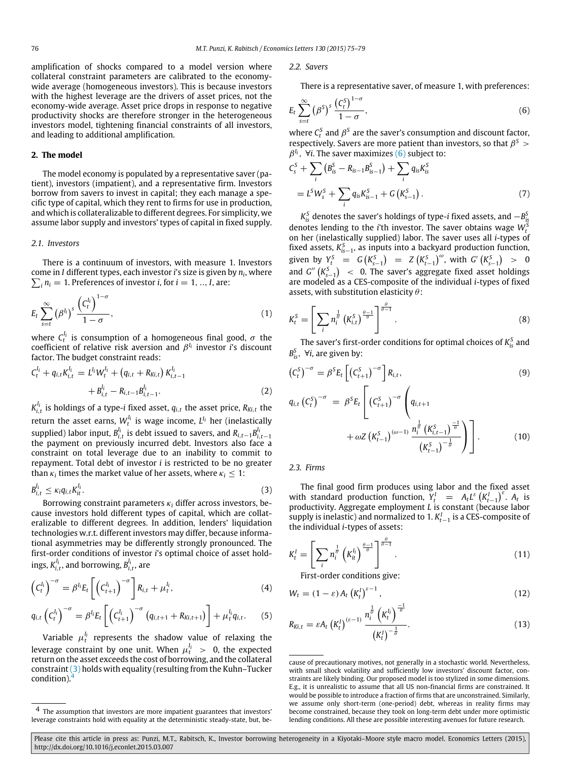amplification of shocks compared to a model version where collateral constraint parameters are calibrated to the economywide average (homogeneous investors). This is because investors with the highest leverage are the drivers of asset prices, not the economy-wide average. Asset price drops in response to negative productivity shocks are therefore stronger in the heterogeneous investors model, tightening financial constraints of all investors, and leading to additional amplification.

# **2. The model**

The model economy is populated by a representative saver (patient), investors (impatient), and a representative firm. Investors borrow from savers to invest in capital; they each manage a specific type of capital, which they rent to firms for use in production, and which is collateralizable to different degrees. For simplicity, we assume labor supply and investors' types of capital in fixed supply.

#### *2.1. Investors*

There is a continuum of investors, with measure 1. Investors come in *I* different types, each investor *i*'s size is given by *n<sup>i</sup>* , where  $\sum_i n_i = 1$ . Preferences of investor *i*, for  $i = 1, ..., I$ , are:

$$
E_t \sum_{s=t}^{\infty} (\beta^{l_i})^s \frac{\left(C_t^{l_i}\right)^{1-\sigma}}{1-\sigma},\tag{1}
$$

where  $C_t^{l_i}$  is consumption of a homogeneous final good,  $\sigma$  the coefficient of relative risk aversion and β *I i* investor *i*'s discount factor. The budget constraint reads:

$$
C_t^{l_i} + q_{i,t}K_{i,t}^{l_i} = L^{l_i}W_t^{l_i} + (q_{i,t} + R_{Ki,t})K_{i,t-1}^{l_i} + B_{i,t}^{l_i} - R_{i,t-1}B_{i,t-1}^{l_i}.
$$
\n(2)

 $K_{i,t}^{l_i}$  is holdings of a type-*i* fixed asset,  $q_{i,t}$  the asset price,  $R_{Ki,t}$  the return the asset earns,  $W_t^{l_i}$  is wage income,  $L^{l_i}$  her (inelastically supplied) labor input,  $B^{l_i}_{i,t}$  is debt issued to savers, and  $R_{i,t-1}B^{l_i}_{i,t-1}$ the payment on previously incurred debt. Investors also face a constraint on total leverage due to an inability to commit to repayment. Total debt of investor *i* is restricted to be no greater than  $\kappa_i$  times the market value of her assets, where  $\kappa_i \leq 1$ :

$$
B_{i,t}^{l_i} \le \kappa_i q_{i,t} K_{it}^{l_i}.
$$

Borrowing constraint parameters κ*<sup>i</sup>* differ across investors, because investors hold different types of capital, which are collateralizable to different degrees. In addition, lenders' liquidation technologies w.r.t. different investors may differ, because informational asymmetries may be differently strongly pronounced. The first-order conditions of investor *i*'s optimal choice of asset holdings,  $K^{l_i}_{i,t}$ , and borrowing,  $B^{l_i}_{i,t}$ , are

$$
\left(C_t^{l_i}\right)^{-\sigma} = \beta^{l_i} E_t \left[\left(C_{t+1}^{l_i}\right)^{-\sigma}\right] R_{i,t} + \mu_t^{l_i},\tag{4}
$$

$$
q_{i,t} \left( C_t^{l_i} \right)^{-\sigma} = \beta^{l_i} E_t \left[ \left( C_{t+1}^{l_i} \right)^{-\sigma} \left( q_{i,t+1} + R_{Ki,t+1} \right) \right] + \mu_t^{l_i} q_{i,t}. \tag{5}
$$

Variable  $\mu_t^{l_i}$  represents the shadow value of relaxing the leverage constraint by one unit. When  $\mu_t^{l_i}$   $\,>\,$  0, the expected return on the asset exceeds the cost of borrowing, and the collateral constraint [\(3\)](#page-1-0) holds with equality (resulting from the Kuhn–Tucker condition).[4](#page-1-1)

*2.2. Savers*

<span id="page-1-2"></span>There is a representative saver, of measure 1, with preferences:

$$
E_t \sum_{s=t}^{\infty} (\beta^S)^s \frac{\left(C_t^S\right)^{1-\sigma}}{1-\sigma},\tag{6}
$$

where  $C_t^S$  and  $\beta^S$  are the saver's consumption and discount factor, respectively. Savers are more patient than investors, so that  $\beta^S$  >  $\beta^{I_i}$ ,  $\forall i$ . The saver maximizes [\(6\)](#page-1-2) subject to:

$$
C_{s}^{S} + \sum_{i} (B_{is}^{S} - R_{is-1}B_{is-1}^{S}) + \sum_{i} q_{is}K_{is}^{S}
$$
  
=  $L^{S}W_{s}^{S} + \sum_{i} q_{is}K_{is-1}^{S} + G(K_{s-1}^{S})$ . (7)

 $K_{is}^S$  denotes the saver's holdings of type-*i* fixed assets, and  $-B_{is}^S$ denotes lending to the *i*'th investor. The saver obtains wage  $W_t^S$ on her (inelastically supplied) labor. The saver uses all *i*-types of fixed assets,  $K_{is-1}^S$ , as inputs into a backyard production function, given by  $Y_t^S = G(K_{s-1}^S) = Z(K_{t-1}^S)^\omega$ , with  $G'(K_{s-1}^S) > 0$ and  $G''(K_{s-1}^S)$  < 0. The saver's aggregate fixed asset holdings are modeled as a CES-composite of the individual *i*-types of fixed assets, with substitution elasticity  $\theta$ :

$$
K_t^S = \left[ \sum_i n_i^{\frac{1}{\theta}} \left( K_{i,t}^S \right)^{\frac{\theta-1}{\theta}} \right]^{\frac{\theta}{\theta-1}}.
$$
\n(8)

The saver's first-order conditions for optimal choices of  $K_{is}^S$  and *B S is*, ∀*i*, are given by:

$$
\left(C_t^S\right)^{-\sigma} = \beta^S E_t \left[ \left(C_{t+1}^S\right)^{-\sigma} \right] R_{i,t},\tag{9}
$$

$$
q_{i,t} (C_t^S)^{-\sigma} = \beta^S E_t \left[ (C_{t+1}^S)^{-\sigma} \left( q_{i,t+1} + \omega Z \left( K_{t-1}^S \right)^{-\sigma} \frac{n_i^{\frac{1}{\sigma}} \left( K_{i,t-1}^S \right)^{-\frac{1}{\sigma}}}{\left( K_{t-1}^S \right)^{-\frac{1}{\sigma}}} \right) \right].
$$
 (10)

*2.3. Firms*

<span id="page-1-0"></span>The final good firm produces using labor and the fixed asset with standard production function,  $Y_t^I = A_t L^\varepsilon (K_{t-1}^I)^\varepsilon$ .  $A_t$  is productivity. Aggregate employment *L* is constant (because labor supply is inelastic) and normalized to 1.  $K_{t-1}^I$  is a CES-composite of the individual *i*-types of assets:

$$
K_t^I = \left[\sum_i n_i^{\frac{1}{\theta}} \left(K_{it}^{I_i}\right)^{\frac{\theta-1}{\theta}}\right]^{\frac{\theta}{\theta-1}}.
$$
\n(11)

First-order conditions give:

$$
W_t = (1 - \varepsilon) A_t \left( K_t^l \right)^{\varepsilon - 1},\tag{12}
$$

$$
R_{Ki,t} = \varepsilon A_t \left( K_t^I \right)^{(\varepsilon - 1)} \frac{n_i^{\frac{1}{\theta}} \left( K_t^I \right)^{\frac{-1}{\theta}}}{\left( K_t^I \right)^{-\frac{1}{\theta}}}.
$$
\n(13)

<span id="page-1-1"></span><sup>4</sup> The assumption that investors are more impatient guarantees that investors' leverage constraints hold with equality at the deterministic steady-state, but, be-

cause of precautionary motives, not generally in a stochastic world. Nevertheless, with small shock volatility and sufficiently low investors' discount factor, constraints are likely binding. Our proposed model is too stylized in some dimensions. E.g., it is unrealistic to assume that all US non-financial firms are constrained. It would be possible to introduce a fraction of firms that are unconstrained. Similarly, we assume only short-term (one-period) debt, whereas in reality firms may become constrained, because they took on long-term debt under more optimistic lending conditions. All these are possible interesting avenues for future research.

Please cite this article in press as: Punzi, M.T., Rabitsch, K., Investor borrowing heterogeneity in a Kiyotaki-Moore style macro model. Economics Letters (2015), http://dx.doi.org/10.1016/j.econlet.2015.03.007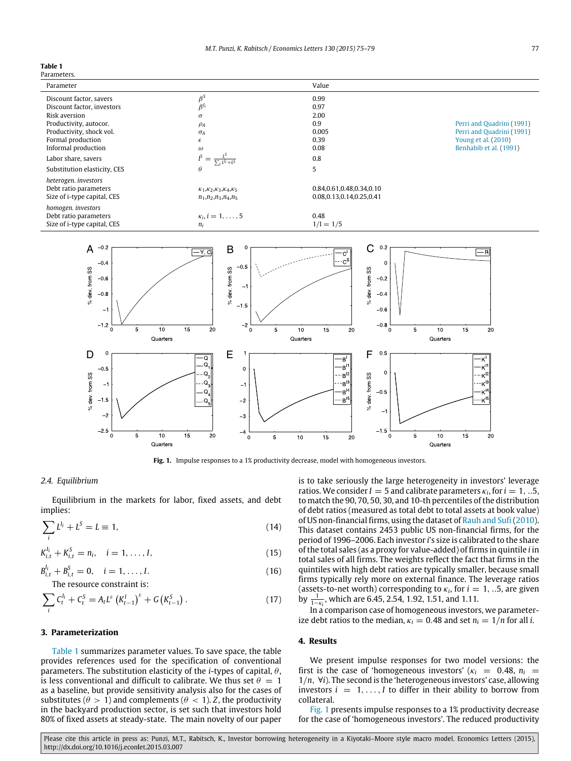# <span id="page-2-0"></span>**Table 1**

Parameters.

<span id="page-2-1"></span>

Fig. 1. Impulse responses to a 1% productivity decrease, model with homogeneous investors.

#### *2.4. Equilibrium*

Equilibrium in the markets for labor, fixed assets, and debt implies:

$$
\sum_{i} L^{l_i} + L^S = L \equiv 1,\tag{14}
$$

$$
K_{i,t}^{I_i} + K_{i,t}^S = n_i, \quad i = 1, ..., I,
$$
\n(15)

$$
B_{i,t}^{l_i} + B_{i,t}^{S} = 0, \quad i = 1, ..., I.
$$
  
The resource constraint is: (16)

$$
\sum_{i} C_{t}^{l_{i}} + C_{t}^{S} = A_{t} L^{S} (K_{t-1}^{I})^{S} + G (K_{t-1}^{S}). \qquad (17)
$$

# **3. Parameterization**

[Table 1](#page-2-0) summarizes parameter values. To save space, the table provides references used for the specification of conventional parameters. The substitution elasticity of the *i*-types of capital, θ, is less conventional and difficult to calibrate. We thus set  $\theta = 1$ as a baseline, but provide sensitivity analysis also for the cases of substitutes ( $\theta > 1$ ) and complements ( $\theta < 1$ ). *Z*, the productivity in the backyard production sector, is set such that investors hold 80% of fixed assets at steady-state. The main novelty of our paper is to take seriously the large heterogeneity in investors' leverage ratios. We consider  $I = 5$  and calibrate parameters  $\kappa_i$ , for  $i = 1, ...5$ , to match the 90, 70, 50, 30, and 10-th percentiles of the distribution of debt ratios (measured as total debt to total assets at book value) of US non-financial firms, using the dataset of [Rauh](#page-4-9) [and](#page-4-9) [Sufi\(2010\)](#page-4-9). This dataset contains 2453 public US non-financial firms, for the period of 1996–2006. Each investor *i*'s size is calibrated to the share of the total sales (as a proxy for value-added) of firms in quintile *i* in total sales of all firms. The weights reflect the fact that firms in the quintiles with high debt ratios are typically smaller, because small firms typically rely more on external finance. The leverage ratios (assets-to-net worth) corresponding to  $\kappa_i$ , for  $i = 1, ...5$ , are given by  $\frac{1}{1-\kappa_i}$ , which are 6.45, 2.54, 1.92, 1.51, and 1.11.

In a comparison case of homogeneous investors, we parameterize debt ratios to the median,  $\kappa_i = 0.48$  and set  $n_i = 1/n$  for all *i*.

#### **4. Results**

We present impulse responses for two model versions: the first is the case of 'homogeneous investors' ( $\kappa_i$  = 0.48,  $n_i$  = 1/*n*, ∀*i*). The second is the 'heterogeneous investors' case, allowing investors  $i = 1, \ldots, I$  to differ in their ability to borrow from collateral.

[Fig. 1](#page-2-1) presents impulse responses to a 1% productivity decrease for the case of 'homogeneous investors'. The reduced productivity

Please cite this article in press as: Punzi, M.T., Rabitsch, K., Investor borrowing heterogeneity in a Kiyotaki-Moore style macro model. Economics Letters (2015), http://dx.doi.org/10.1016/j.econlet.2015.03.007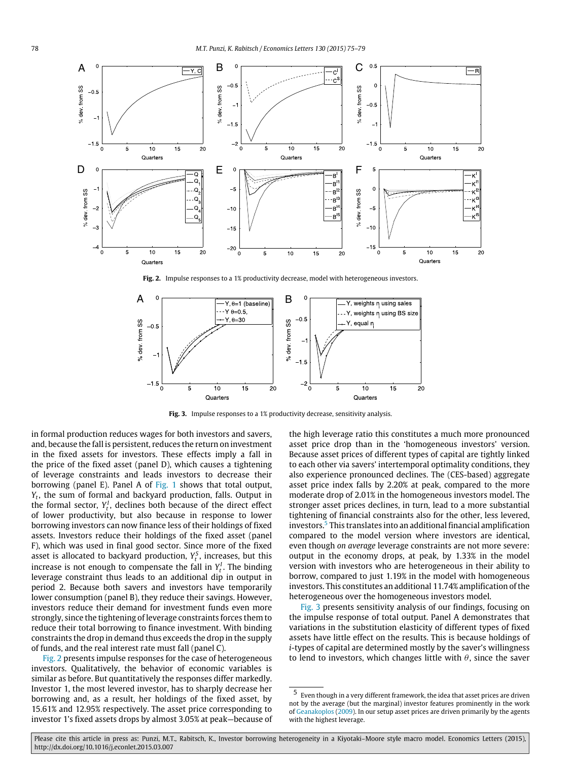<span id="page-3-0"></span>

Fig. 2. Impulse responses to a 1% productivity decrease, model with heterogeneous investors.

<span id="page-3-2"></span>

**Fig. 3.** Impulse responses to a 1% productivity decrease, sensitivity analysis.

in formal production reduces wages for both investors and savers, and, because the fall is persistent, reduces the return on investment in the fixed assets for investors. These effects imply a fall in the price of the fixed asset (panel D), which causes a tightening of leverage constraints and leads investors to decrease their borrowing (panel E). Panel A of [Fig. 1](#page-2-1) shows that total output, *Yt* , the sum of formal and backyard production, falls. Output in the formal sector,  $Y_t^I$ , declines both because of the direct effect of lower productivity, but also because in response to lower borrowing investors can now finance less of their holdings of fixed assets. Investors reduce their holdings of the fixed asset (panel F), which was used in final good sector. Since more of the fixed asset is allocated to backyard production,  $Y_t^S$ , increases, but this increase is not enough to compensate the fall in  $Y_t^I$ . The binding leverage constraint thus leads to an additional dip in output in period 2. Because both savers and investors have temporarily lower consumption (panel B), they reduce their savings. However, investors reduce their demand for investment funds even more strongly, since the tightening of leverage constraints forces them to reduce their total borrowing to finance investment. With binding constraints the drop in demand thus exceeds the drop in the supply of funds, and the real interest rate must fall (panel C).

[Fig. 2](#page-3-0) presents impulse responses for the case of heterogeneous investors. Qualitatively, the behavior of economic variables is similar as before. But quantitatively the responses differ markedly. Investor 1, the most levered investor, has to sharply decrease her borrowing and, as a result, her holdings of the fixed asset, by 15.61% and 12.95% respectively. The asset price corresponding to investor 1's fixed assets drops by almost 3.05% at peak—because of the high leverage ratio this constitutes a much more pronounced asset price drop than in the 'homogeneous investors' version. Because asset prices of different types of capital are tightly linked to each other via savers' intertemporal optimality conditions, they also experience pronounced declines. The (CES-based) aggregate asset price index falls by 2.20% at peak, compared to the more moderate drop of 2.01% in the homogeneous investors model. The stronger asset prices declines, in turn, lead to a more substantial tightening of financial constraints also for the other, less levered, investors.[5](#page-3-1) This translates into an additional financial amplification compared to the model version where investors are identical, even though *on average* leverage constraints are not more severe: output in the economy drops, at peak, by 1.33% in the model version with investors who are heterogeneous in their ability to borrow, compared to just 1.19% in the model with homogeneous investors. This constitutes an additional 11.74% amplification of the heterogeneous over the homogeneous investors model.

[Fig. 3](#page-3-2) presents sensitivity analysis of our findings, focusing on the impulse response of total output. Panel A demonstrates that variations in the substitution elasticity of different types of fixed assets have little effect on the results. This is because holdings of *i*-types of capital are determined mostly by the saver's willingness to lend to investors, which changes little with  $\theta$ , since the saver

Please cite this article in press as: Punzi, M.T., Rabitsch, K., Investor borrowing heterogeneity in a Kiyotaki-Moore style macro model. Economics Letters (2015), http://dx.doi.org/10.1016/j.econlet.2015.03.007

<span id="page-3-1"></span><sup>5</sup> Even though in a very different framework, the idea that asset prices are driven not by the average (but the marginal) investor features prominently in the work of [Geanakoplos](#page-4-13) [\(2009\)](#page-4-13). In our setup asset prices are driven primarily by the agents with the highest leverage.